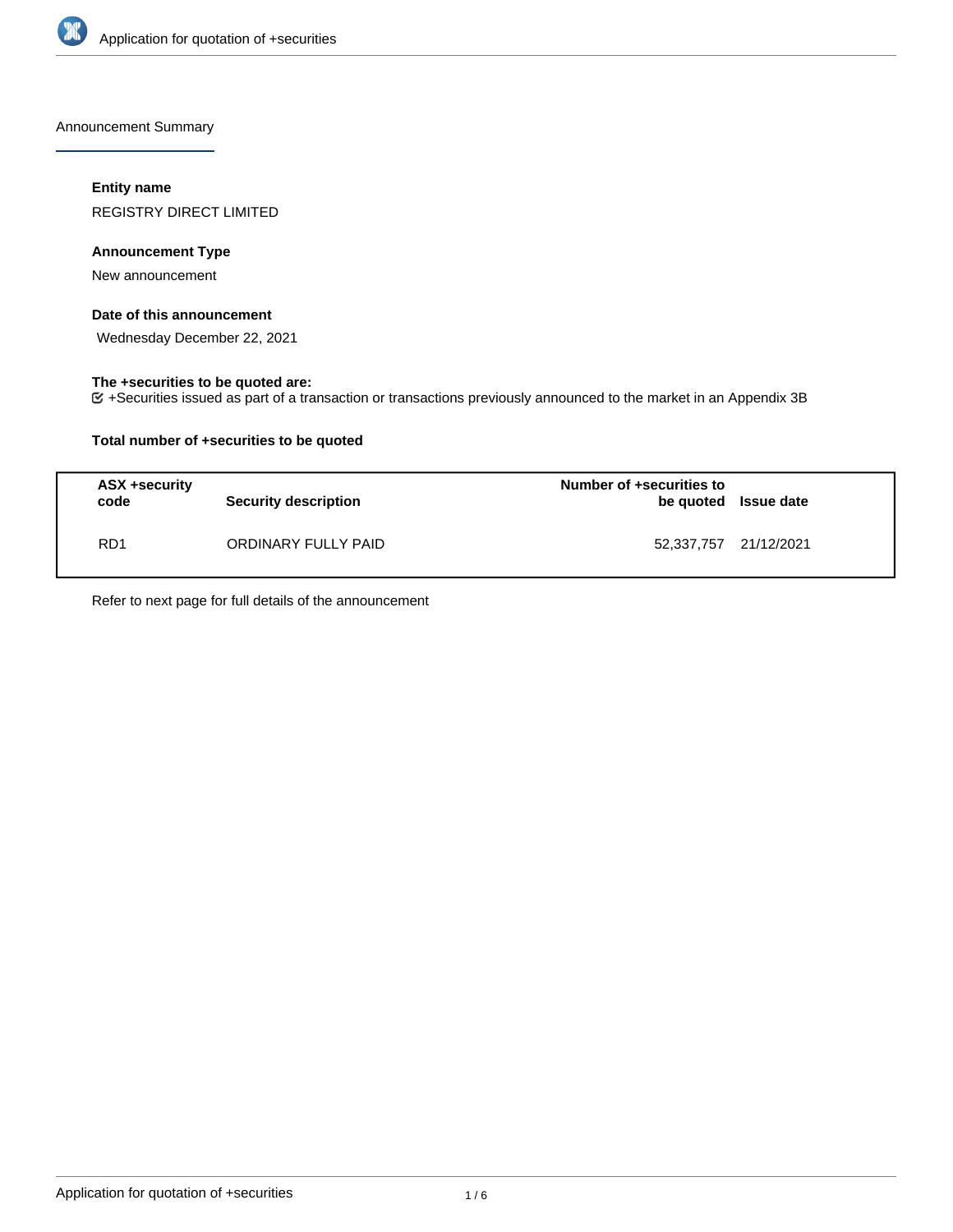

Announcement Summary

## **Entity name**

REGISTRY DIRECT LIMITED

## **Announcement Type**

New announcement

## **Date of this announcement**

Wednesday December 22, 2021

## **The +securities to be quoted are:**

+Securities issued as part of a transaction or transactions previously announced to the market in an Appendix 3B

## **Total number of +securities to be quoted**

| ASX +security<br>code | <b>Security description</b> | Number of +securities to<br>be quoted Issue date |  |
|-----------------------|-----------------------------|--------------------------------------------------|--|
| RD <sub>1</sub>       | ORDINARY FULLY PAID         | 52,337,757 21/12/2021                            |  |

Refer to next page for full details of the announcement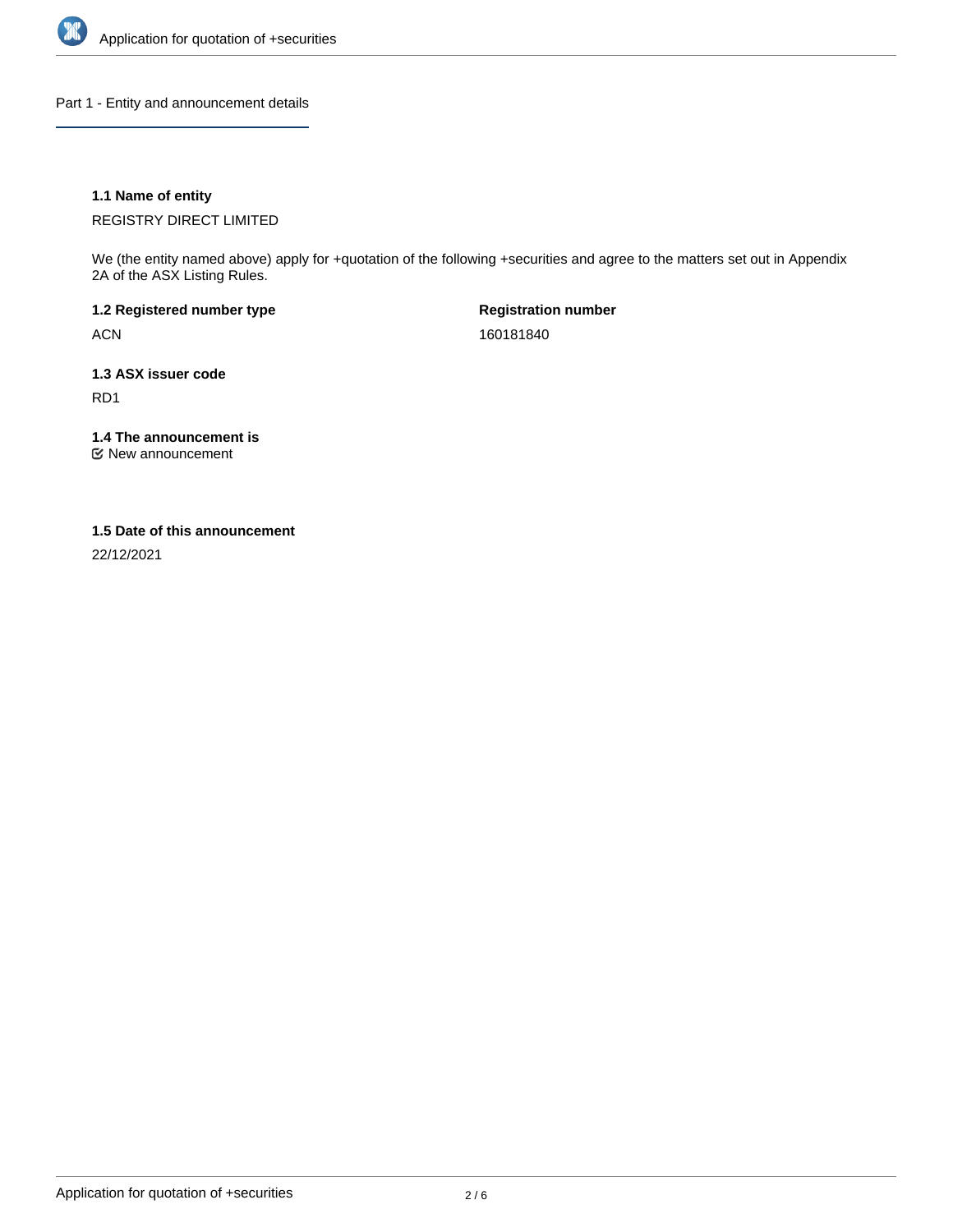

Part 1 - Entity and announcement details

## **1.1 Name of entity**

REGISTRY DIRECT LIMITED

We (the entity named above) apply for +quotation of the following +securities and agree to the matters set out in Appendix 2A of the ASX Listing Rules.

**1.2 Registered number type** ACN

**Registration number** 160181840

**1.3 ASX issuer code** RD1

**1.4 The announcement is**

New announcement

#### **1.5 Date of this announcement**

22/12/2021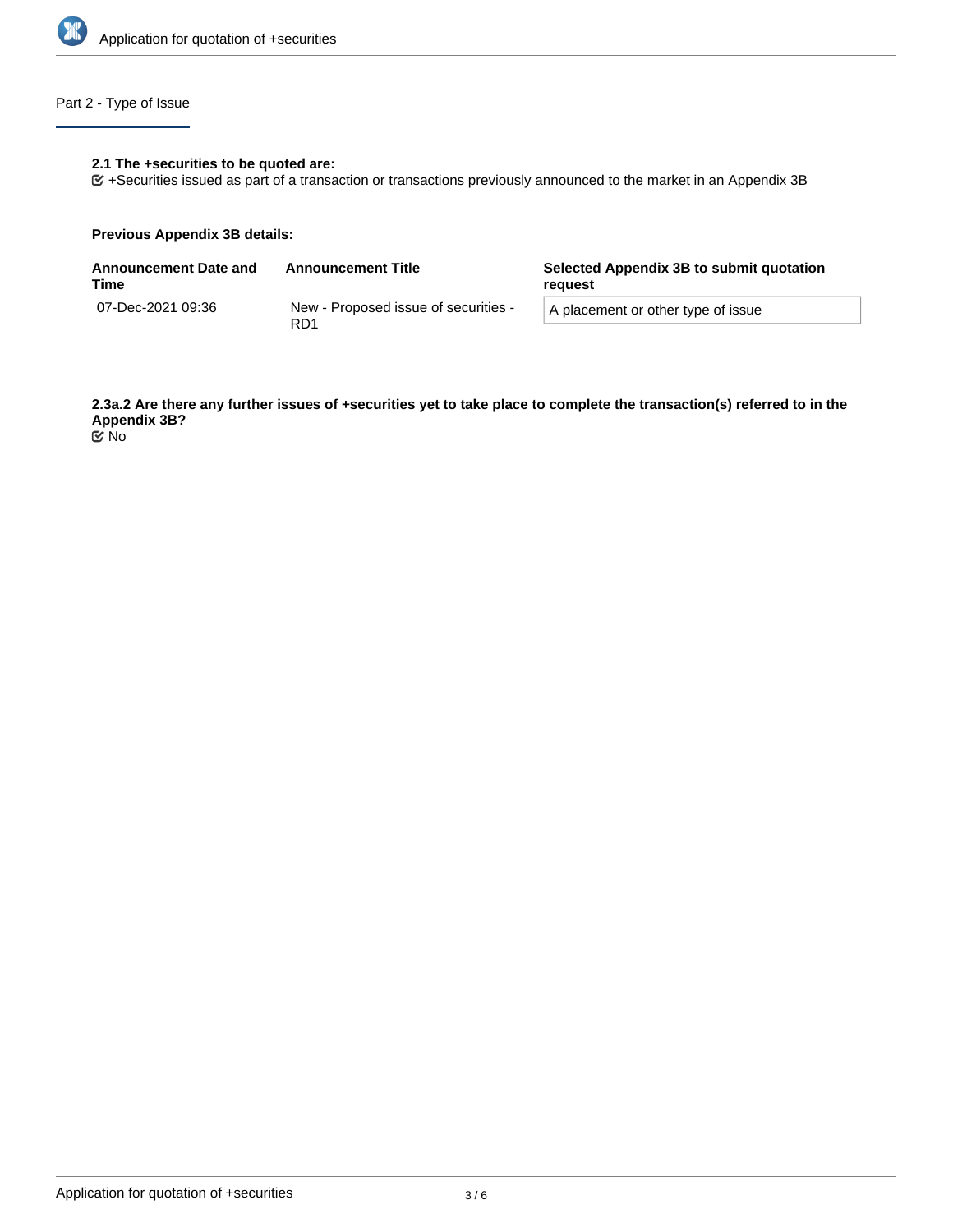

# Part 2 - Type of Issue

## **2.1 The +securities to be quoted are:**

+Securities issued as part of a transaction or transactions previously announced to the market in an Appendix 3B

#### **Previous Appendix 3B details:**

| <b>Announcement Date and</b><br>Time | <b>Announcement Title</b>                               | Selected Appendix 3B to submit quotation<br>reguest |  |
|--------------------------------------|---------------------------------------------------------|-----------------------------------------------------|--|
| 07-Dec-2021 09:36                    | New - Proposed issue of securities -<br>RD <sub>1</sub> | A placement or other type of issue                  |  |

**2.3a.2 Are there any further issues of +securities yet to take place to complete the transaction(s) referred to in the Appendix 3B?**

No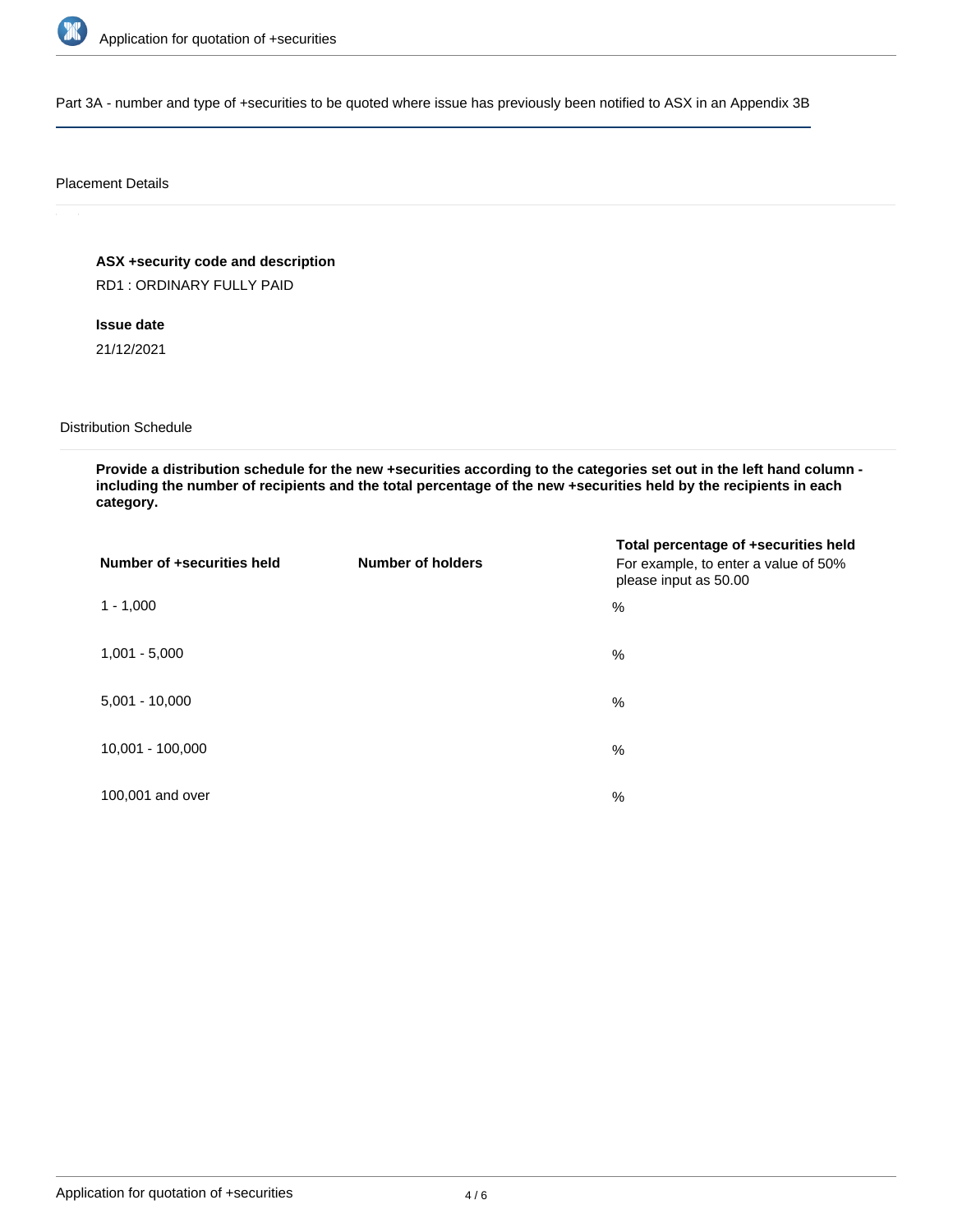

Part 3A - number and type of +securities to be quoted where issue has previously been notified to ASX in an Appendix 3B

#### Placement Details

**ASX +security code and description** RD1 : ORDINARY FULLY PAID

**Issue date** 21/12/2021

Distribution Schedule

**Provide a distribution schedule for the new +securities according to the categories set out in the left hand column including the number of recipients and the total percentage of the new +securities held by the recipients in each category.**

| Number of +securities held | <b>Number of holders</b> | Total percentage of +securities held<br>For example, to enter a value of 50%<br>please input as 50.00 |
|----------------------------|--------------------------|-------------------------------------------------------------------------------------------------------|
| $1 - 1,000$                |                          | %                                                                                                     |
| $1,001 - 5,000$            |                          | $\%$                                                                                                  |
| $5,001 - 10,000$           |                          | %                                                                                                     |
| 10,001 - 100,000           |                          | %                                                                                                     |
| 100,001 and over           |                          | $\%$                                                                                                  |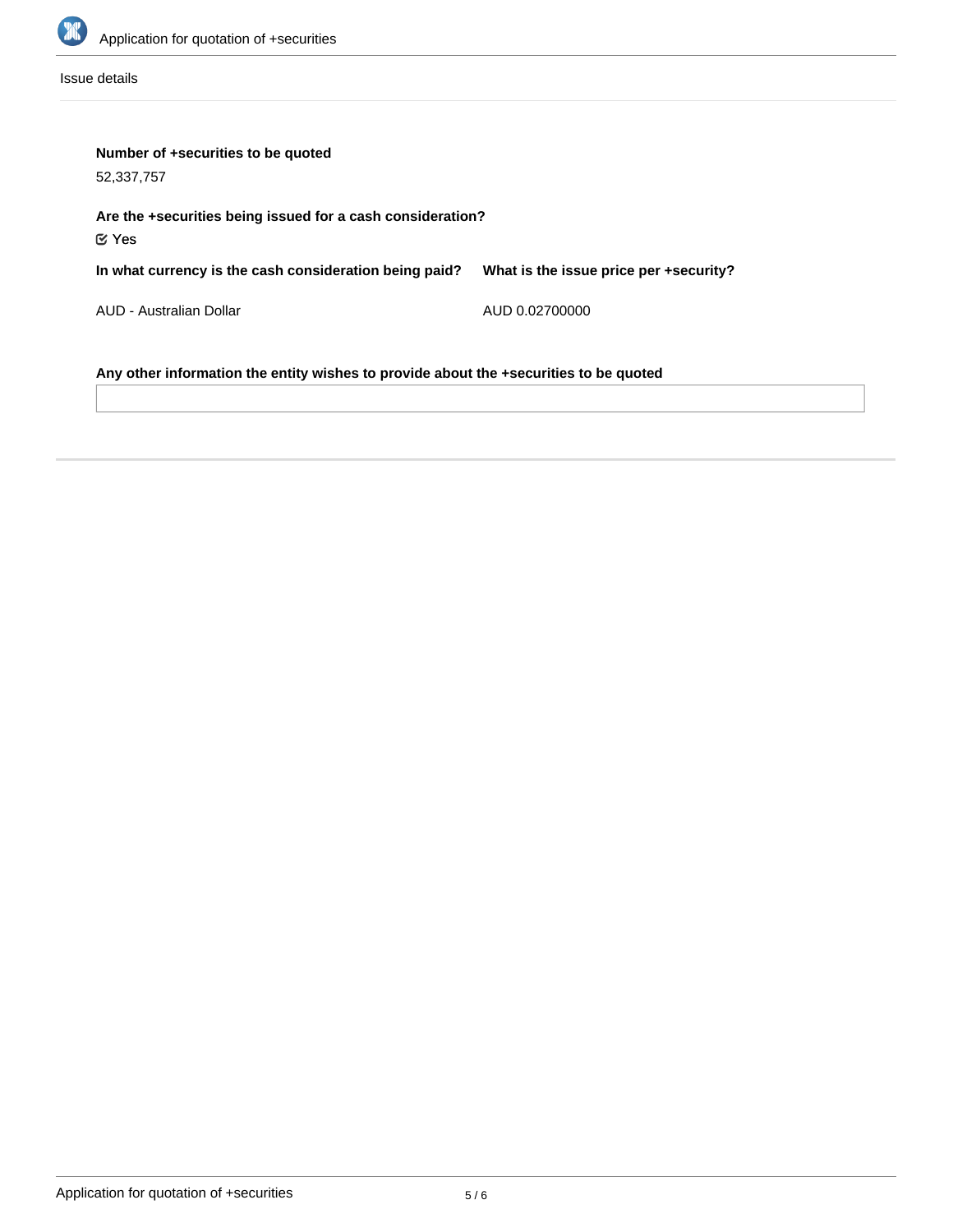

Issue details

| Number of +securities to be quoted<br>52,337,757                                      |                                        |  |  |  |
|---------------------------------------------------------------------------------------|----------------------------------------|--|--|--|
| Are the +securities being issued for a cash consideration?<br>$\mathfrak C$ Yes       |                                        |  |  |  |
| In what currency is the cash consideration being paid?                                | What is the issue price per +security? |  |  |  |
| AUD - Australian Dollar                                                               | AUD 0.02700000                         |  |  |  |
| Any other information the entity wishes to provide about the +securities to be quoted |                                        |  |  |  |